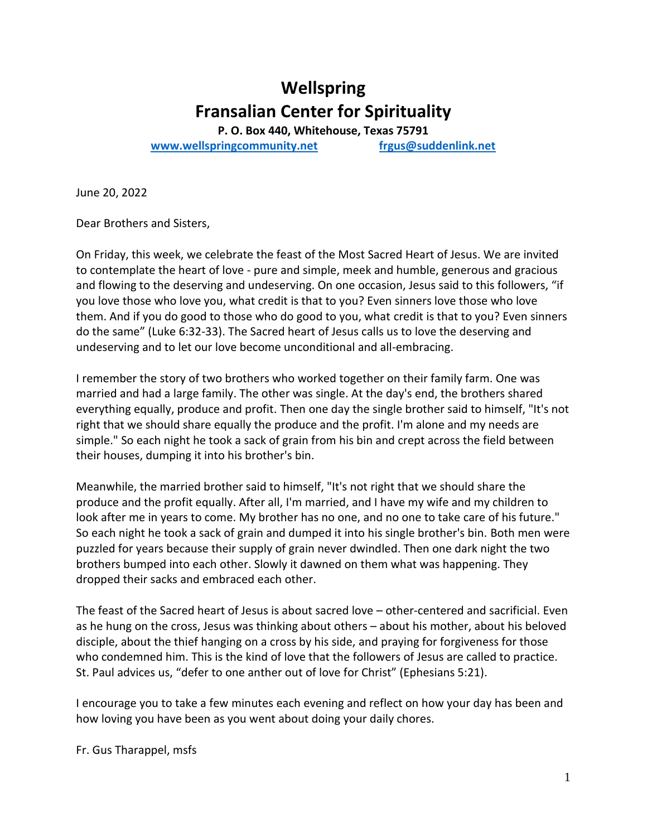# **Wellspring Fransalian Center for Spirituality**

**P. O. Box 440, Whitehouse, Texas 75791 [www.wellspringcommunity.net](http://www.wellspringcommunity.net/) [frgus@suddenlink.net](mailto:frgus@suddenlink.net)**

June 20, 2022

Dear Brothers and Sisters,

On Friday, this week, we celebrate the feast of the Most Sacred Heart of Jesus. We are invited to contemplate the heart of love - pure and simple, meek and humble, generous and gracious and flowing to the deserving and undeserving. On one occasion, Jesus said to this followers, "if you love those who love you, what credit is that to you? Even sinners love those who love them. And if you do good to those who do good to you, what credit is that to you? Even sinners do the same" (Luke 6:32-33). The Sacred heart of Jesus calls us to love the deserving and undeserving and to let our love become unconditional and all-embracing.

I remember the story of two brothers who worked together on their family farm. One was married and had a large family. The other was single. At the day's end, the brothers shared everything equally, produce and profit. Then one day the single brother said to himself, "It's not right that we should share equally the produce and the profit. I'm alone and my needs are simple." So each night he took a sack of grain from his bin and crept across the field between their houses, dumping it into his brother's bin.

Meanwhile, the married brother said to himself, "It's not right that we should share the produce and the profit equally. After all, I'm married, and I have my wife and my children to look after me in years to come. My brother has no one, and no one to take care of his future." So each night he took a sack of grain and dumped it into his single brother's bin. Both men were puzzled for years because their supply of grain never dwindled. Then one dark night the two brothers bumped into each other. Slowly it dawned on them what was happening. They dropped their sacks and embraced each other.

The feast of the Sacred heart of Jesus is about sacred love – other-centered and sacrificial. Even as he hung on the cross, Jesus was thinking about others – about his mother, about his beloved disciple, about the thief hanging on a cross by his side, and praying for forgiveness for those who condemned him. This is the kind of love that the followers of Jesus are called to practice. St. Paul advices us, "defer to one anther out of love for Christ" (Ephesians 5:21).

I encourage you to take a few minutes each evening and reflect on how your day has been and how loving you have been as you went about doing your daily chores.

Fr. Gus Tharappel, msfs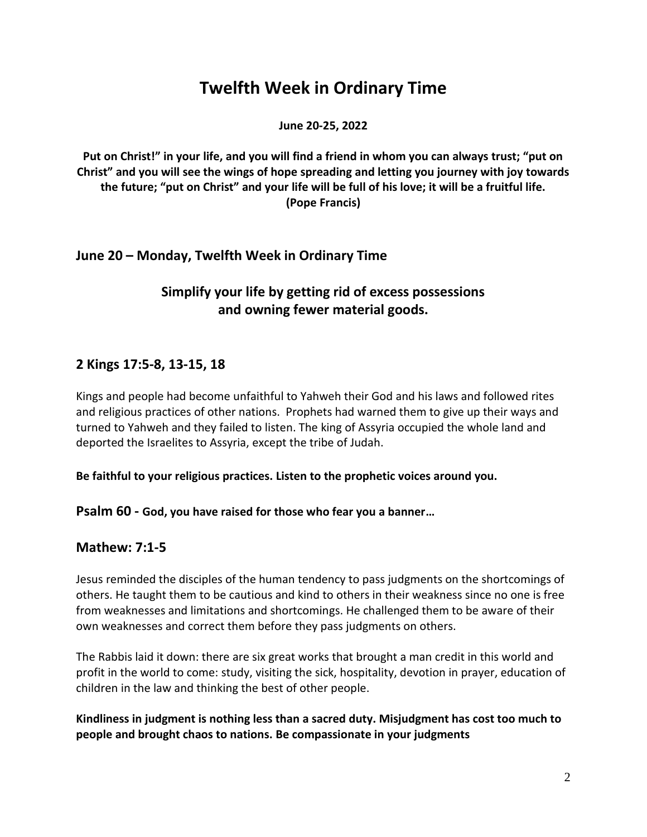# **Twelfth Week in Ordinary Time**

**June 20-25, 2022**

**Put on Christ!" in your life, and you will find a friend in whom you can always trust; "put on Christ" and you will see the wings of hope spreading and letting you journey with joy towards the future; "put on Christ" and your life will be full of his love; it will be a fruitful life. (Pope Francis)**

### **June 20 – Monday, Twelfth Week in Ordinary Time**

# **Simplify your life by getting rid of excess possessions and owning fewer material goods.**

### **2 Kings 17:5-8, 13-15, 18**

Kings and people had become unfaithful to Yahweh their God and his laws and followed rites and religious practices of other nations. Prophets had warned them to give up their ways and turned to Yahweh and they failed to listen. The king of Assyria occupied the whole land and deported the Israelites to Assyria, except the tribe of Judah.

#### **Be faithful to your religious practices. Listen to the prophetic voices around you.**

**Psalm 60 - God, you have raised for those who fear you a banner…**

#### **Mathew: 7:1-5**

Jesus reminded the disciples of the human tendency to pass judgments on the shortcomings of others. He taught them to be cautious and kind to others in their weakness since no one is free from weaknesses and limitations and shortcomings. He challenged them to be aware of their own weaknesses and correct them before they pass judgments on others.

The Rabbis laid it down: there are six great works that brought a man credit in this world and profit in the world to come: study, visiting the sick, hospitality, devotion in prayer, education of children in the law and thinking the best of other people.

**Kindliness in judgment is nothing less than a sacred duty. Misjudgment has cost too much to people and brought chaos to nations. Be compassionate in your judgments**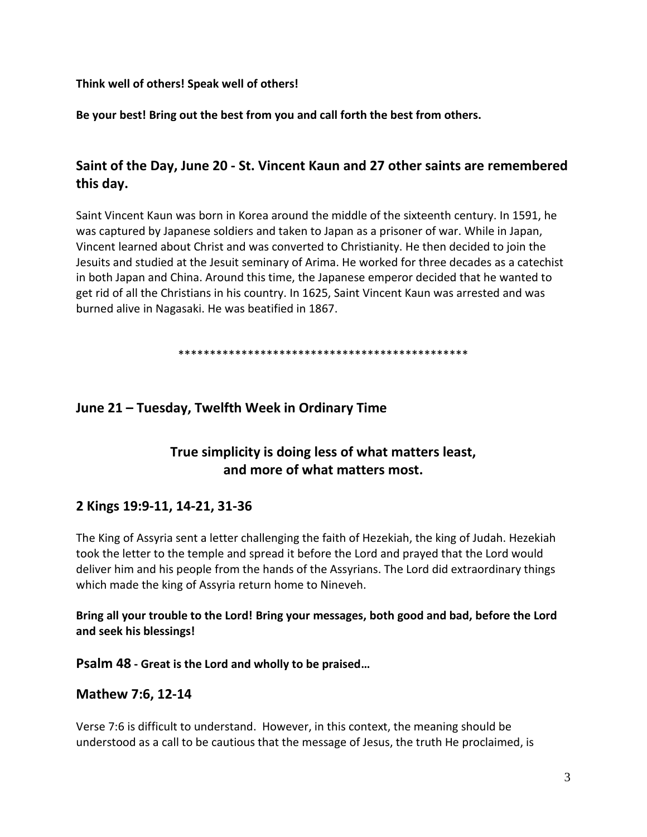**Think well of others! Speak well of others!**

**Be your best! Bring out the best from you and call forth the best from others.**

## **Saint of the Day, June 20 - St. Vincent Kaun and 27 other saints are remembered this day.**

Saint Vincent Kaun was born in Korea around the middle of the sixteenth century. In 1591, he was captured by Japanese soldiers and taken to Japan as a prisoner of war. While in Japan, Vincent learned about Christ and was converted to Christianity. He then decided to join the Jesuits and studied at the Jesuit seminary of Arima. He worked for three decades as a catechist in both Japan and China. Around this time, the Japanese emperor decided that he wanted to get rid of all the Christians in his country. In 1625, Saint Vincent Kaun was arrested and was burned alive in Nagasaki. He was beatified in 1867.

\*\*\*\*\*\*\*\*\*\*\*\*\*\*\*\*\*\*\*\*\*\*\*\*\*\*\*\*\*\*\*\*\*\*\*\*\*\*\*\*\*\*\*\*\*\*

#### **June 21 – Tuesday, Twelfth Week in Ordinary Time**

# **True simplicity is doing less of what matters least, and more of what matters most.**

#### **2 Kings 19:9-11, 14-21, 31-36**

The King of Assyria sent a letter challenging the faith of Hezekiah, the king of Judah. Hezekiah took the letter to the temple and spread it before the Lord and prayed that the Lord would deliver him and his people from the hands of the Assyrians. The Lord did extraordinary things which made the king of Assyria return home to Nineveh.

**Bring all your trouble to the Lord! Bring your messages, both good and bad, before the Lord and seek his blessings!**

**Psalm 48 - Great is the Lord and wholly to be praised…**

#### **Mathew 7:6, 12-14**

Verse 7:6 is difficult to understand. However, in this context, the meaning should be understood as a call to be cautious that the message of Jesus, the truth He proclaimed, is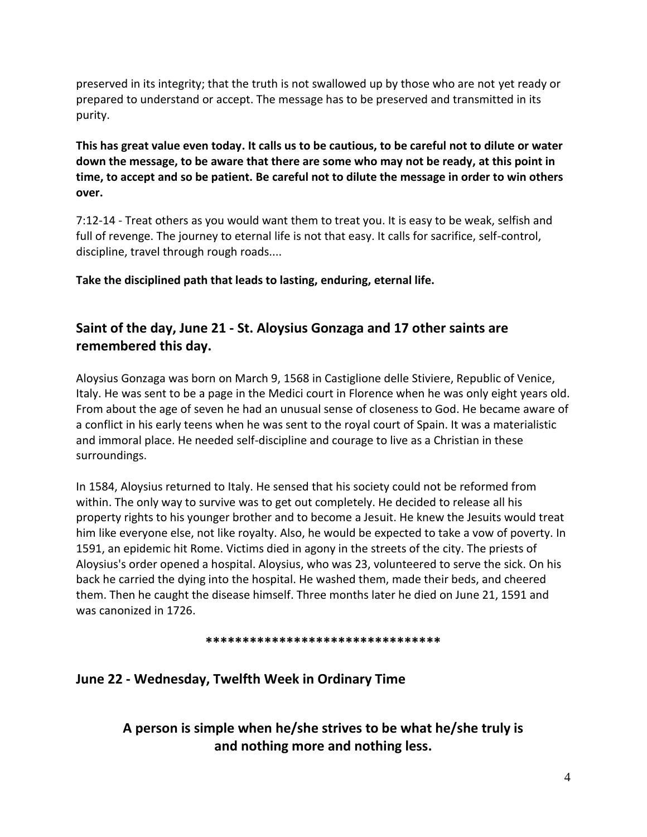preserved in its integrity; that the truth is not swallowed up by those who are not yet ready or prepared to understand or accept. The message has to be preserved and transmitted in its purity.

**This has great value even today. It calls us to be cautious, to be careful not to dilute or water down the message, to be aware that there are some who may not be ready, at this point in time, to accept and so be patient. Be careful not to dilute the message in order to win others over.**

7:12-14 - Treat others as you would want them to treat you. It is easy to be weak, selfish and full of revenge. The journey to eternal life is not that easy. It calls for sacrifice, self-control, discipline, travel through rough roads....

**Take the disciplined path that leads to lasting, enduring, eternal life.**

# **Saint of the day, June 21 - St. Aloysius Gonzaga and 17 other saints are remembered this day.**

Aloysius Gonzaga was born on March 9, 1568 in Castiglione delle Stiviere, Republic of Venice, Italy. He was sent to be a page in the Medici court in Florence when he was only eight years old. From about the age of seven he had an unusual sense of closeness to God. He became aware of a conflict in his early teens when he was sent to the royal court of Spain. It was a materialistic and immoral place. He needed self-discipline and courage to live as a Christian in these surroundings.

In 1584, Aloysius returned to Italy. He sensed that his society could not be reformed from within. The only way to survive was to get out completely. He decided to release all his property rights to his younger brother and to become a Jesuit. He knew the Jesuits would treat him like everyone else, not like royalty. Also, he would be expected to take a vow of poverty. In 1591, an epidemic hit Rome. Victims died in agony in the streets of the city. The priests of Aloysius's order opened a hospital. Aloysius, who was 23, volunteered to serve the sick. On his back he carried the dying into the hospital. He washed them, made their beds, and cheered them. Then he caught the disease himself. Three months later he died on June 21, 1591 and was canonized in 1726.

#### **\*\*\*\*\*\*\*\*\*\*\*\*\*\*\*\*\*\*\*\*\*\*\*\*\*\*\*\*\*\*\*\***

# **June 22 - Wednesday, Twelfth Week in Ordinary Time**

**A person is simple when he/she strives to be what he/she truly is and nothing more and nothing less.**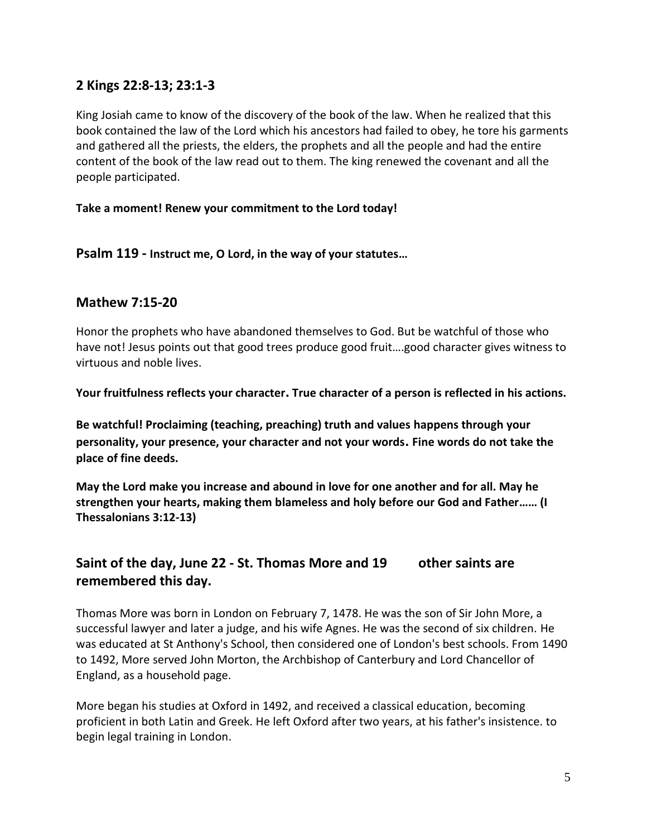### **2 Kings 22:8-13; 23:1-3**

King Josiah came to know of the discovery of the book of the law. When he realized that this book contained the law of the Lord which his ancestors had failed to obey, he tore his garments and gathered all the priests, the elders, the prophets and all the people and had the entire content of the book of the law read out to them. The king renewed the covenant and all the people participated.

#### **Take a moment! Renew your commitment to the Lord today!**

**Psalm 119 - Instruct me, O Lord, in the way of your statutes…**

#### **Mathew 7:15-20**

Honor the prophets who have abandoned themselves to God. But be watchful of those who have not! Jesus points out that good trees produce good fruit....good character gives witness to virtuous and noble lives.

**Your fruitfulness reflects your character. True character of a person is reflected in his actions.**

**Be watchful! Proclaiming (teaching, preaching) truth and values happens through your personality, your presence, your character and not your words. Fine words do not take the place of fine deeds.**

**May the Lord make you increase and abound in love for one another and for all. May he strengthen your hearts, making them blameless and holy before our God and Father…… (I Thessalonians 3:12-13)**

# **Saint of the day, June 22 - St. Thomas More and 19 other saints are remembered this day.**

Thomas More was born in London on February 7, 1478. He was the son of Sir John More, a successful lawyer and later a judge, and his wife Agnes. He was the second of six children. He was educated at St Anthony's School, then considered one of London's best schools. From 1490 to 1492, More served John Morton, the Archbishop of Canterbury and Lord Chancellor of England, as a household page.

More began his studies at Oxford in 1492, and received a classical education, becoming proficient in both Latin and Greek. He left Oxford after two years, at his father's insistence. to begin legal training in London.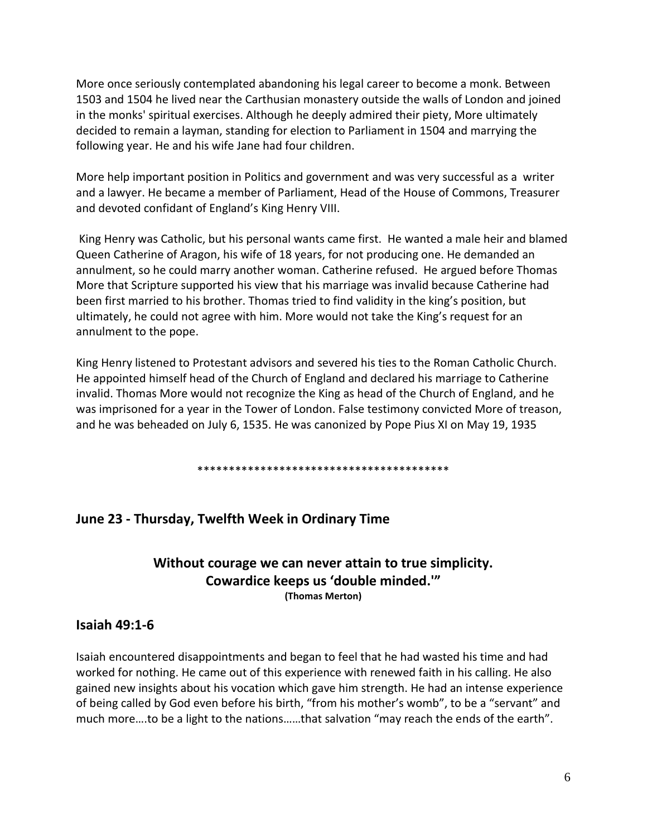More once seriously contemplated abandoning his legal career to become a monk. Between 1503 and 1504 he lived near the Carthusian monastery outside the walls of London and joined in the monks' spiritual exercises. Although he deeply admired their piety, More ultimately decided to remain a layman, standing for election to Parliament in 1504 and marrying the following year. He and his wife Jane had four children.

More help important position in Politics and government and was very successful as a writer and a lawyer. He became a member of Parliament, Head of the House of Commons, Treasurer and devoted confidant of England's King Henry VIII.

King Henry was Catholic, but his personal wants came first. He wanted a male heir and blamed Queen Catherine of Aragon, his wife of 18 years, for not producing one. He demanded an annulment, so he could marry another woman. Catherine refused. He argued before Thomas More that Scripture supported his view that his marriage was invalid because Catherine had been first married to his brother. Thomas tried to find validity in the king's position, but ultimately, he could not agree with him. More would not take the King's request for an annulment to the pope.

King Henry listened to Protestant advisors and severed his ties to the Roman Catholic Church. He appointed himself head of the Church of England and declared his marriage to Catherine invalid. Thomas More would not recognize the King as head of the Church of England, and he was imprisoned for a year in the Tower of London. False testimony convicted More of treason, and he was beheaded on July 6, 1535. He was canonized by Pope Pius XI on May 19, 1935

\*\*\*\*\*\*\*\*\*\*\*\*\*\*\*\*\*\*\*\*\*\*\*\*\*\*\*\*\*\*\*\*\*\*\*\*\*\*\*\*

## **June 23 - Thursday, Twelfth Week in Ordinary Time**

### **Without courage we can never attain to true simplicity. Cowardice keeps us 'double minded.'" (Thomas Merton)**

#### **Isaiah 49:1-6**

Isaiah encountered disappointments and began to feel that he had wasted his time and had worked for nothing. He came out of this experience with renewed faith in his calling. He also gained new insights about his vocation which gave him strength. He had an intense experience of being called by God even before his birth, "from his mother's womb", to be a "servant" and much more….to be a light to the nations……that salvation "may reach the ends of the earth".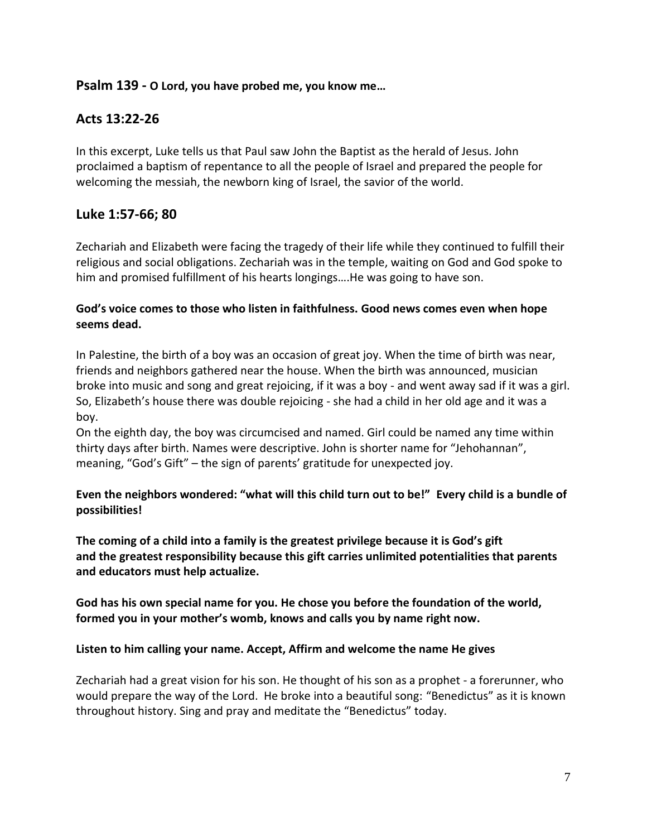#### **Psalm 139 - O Lord, you have probed me, you know me…**

### **Acts 13:22-26**

In this excerpt, Luke tells us that Paul saw John the Baptist as the herald of Jesus. John proclaimed a baptism of repentance to all the people of Israel and prepared the people for welcoming the messiah, the newborn king of Israel, the savior of the world.

#### **Luke 1:57-66; 80**

Zechariah and Elizabeth were facing the tragedy of their life while they continued to fulfill their religious and social obligations. Zechariah was in the temple, waiting on God and God spoke to him and promised fulfillment of his hearts longings….He was going to have son.

#### **God's voice comes to those who listen in faithfulness. Good news comes even when hope seems dead.**

In Palestine, the birth of a boy was an occasion of great joy. When the time of birth was near, friends and neighbors gathered near the house. When the birth was announced, musician broke into music and song and great rejoicing, if it was a boy - and went away sad if it was a girl. So, Elizabeth's house there was double rejoicing - she had a child in her old age and it was a boy.

On the eighth day, the boy was circumcised and named. Girl could be named any time within thirty days after birth. Names were descriptive. John is shorter name for "Jehohannan", meaning, "God's Gift" – the sign of parents' gratitude for unexpected joy.

**Even the neighbors wondered: "what will this child turn out to be!" Every child is a bundle of possibilities!**

**The coming of a child into a family is the greatest privilege because it is God's gift and the greatest responsibility because this gift carries unlimited potentialities that parents and educators must help actualize.**

**God has his own special name for you. He chose you before the foundation of the world, formed you in your mother's womb, knows and calls you by name right now.**

#### **Listen to him calling your name. Accept, Affirm and welcome the name He gives**

Zechariah had a great vision for his son. He thought of his son as a prophet - a forerunner, who would prepare the way of the Lord. He broke into a beautiful song: "Benedictus" as it is known throughout history. Sing and pray and meditate the "Benedictus" today.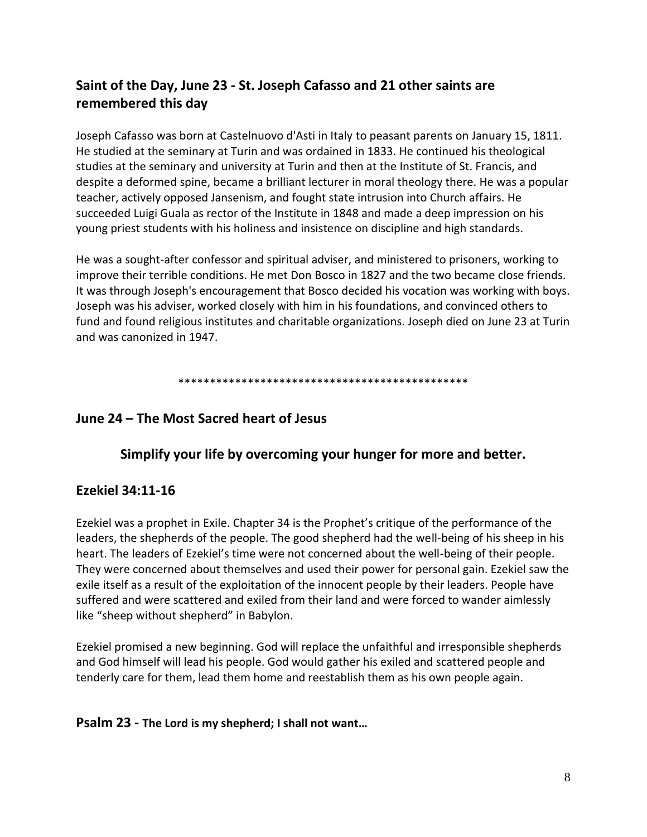# **Saint of the Day, June 23 - St. Joseph Cafasso and 21 other saints are remembered this day**

Joseph Cafasso was born at Castelnuovo d'Asti in Italy to peasant parents on January 15, 1811. He studied at the seminary at Turin and was ordained in 1833. He continued his theological studies at the seminary and university at Turin and then at the Institute of St. Francis, and despite a deformed spine, became a brilliant lecturer in moral theology there. He was a popular teacher, actively opposed Jansenism, and fought state intrusion into Church affairs. He succeeded Luigi Guala as rector of the Institute in 1848 and made a deep impression on his young priest students with his holiness and insistence on discipline and high standards.

He was a sought-after confessor and spiritual adviser, and ministered to prisoners, working to improve their terrible conditions. He met Don Bosco in 1827 and the two became close friends. It was through Joseph's encouragement that Bosco decided his vocation was working with boys. Joseph was his adviser, worked closely with him in his foundations, and convinced others to fund and found religious institutes and charitable organizations. Joseph died on June 23 at Turin and was canonized in 1947.

\*\*\*\*\*\*\*\*\*\*\*\*\*\*\*\*\*\*\*\*\*\*\*\*\*\*\*\*\*\*\*\*\*\*\*\*\*\*\*\*\*\*\*\*\*\*

### **June 24 – The Most Sacred heart of Jesus**

#### **Simplify your life by overcoming your hunger for more and better.**

#### **Ezekiel 34:11-16**

Ezekiel was a prophet in Exile. Chapter 34 is the Prophet's critique of the performance of the leaders, the shepherds of the people. The good shepherd had the well-being of his sheep in his heart. The leaders of Ezekiel's time were not concerned about the well-being of their people. They were concerned about themselves and used their power for personal gain. Ezekiel saw the exile itself as a result of the exploitation of the innocent people by their leaders. People have suffered and were scattered and exiled from their land and were forced to wander aimlessly like "sheep without shepherd" in Babylon.

Ezekiel promised a new beginning. God will replace the unfaithful and irresponsible shepherds and God himself will lead his people. God would gather his exiled and scattered people and tenderly care for them, lead them home and reestablish them as his own people again.

#### **Psalm 23 - The Lord is my shepherd; I shall not want…**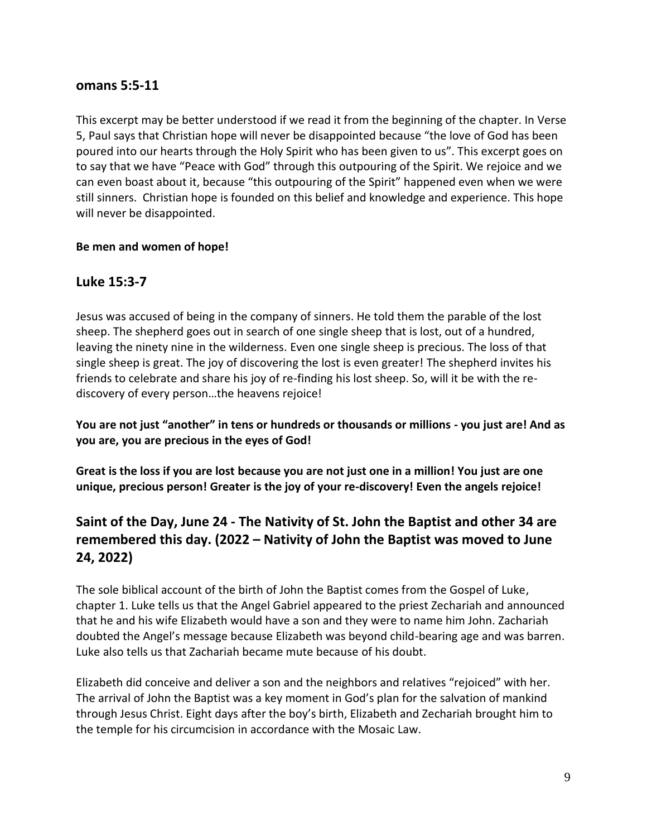#### **omans 5:5-11**

This excerpt may be better understood if we read it from the beginning of the chapter. In Verse 5, Paul says that Christian hope will never be disappointed because "the love of God has been poured into our hearts through the Holy Spirit who has been given to us". This excerpt goes on to say that we have "Peace with God" through this outpouring of the Spirit. We rejoice and we can even boast about it, because "this outpouring of the Spirit" happened even when we were still sinners. Christian hope is founded on this belief and knowledge and experience. This hope will never be disappointed.

#### **Be men and women of hope!**

### **Luke 15:3-7**

Jesus was accused of being in the company of sinners. He told them the parable of the lost sheep. The shepherd goes out in search of one single sheep that is lost, out of a hundred, leaving the ninety nine in the wilderness. Even one single sheep is precious. The loss of that single sheep is great. The joy of discovering the lost is even greater! The shepherd invites his friends to celebrate and share his joy of re-finding his lost sheep. So, will it be with the rediscovery of every person…the heavens rejoice!

**You are not just "another" in tens or hundreds or thousands or millions - you just are! And as you are, you are precious in the eyes of God!** 

**Great is the loss if you are lost because you are not just one in a million! You just are one unique, precious person! Greater is the joy of your re-discovery! Even the angels rejoice!**

# **Saint of the Day, June 24 - The Nativity of St. John the Baptist and other 34 are remembered this day. (2022 – Nativity of John the Baptist was moved to June 24, 2022)**

The sole biblical account of the birth of John the Baptist comes from the Gospel of Luke, chapter 1. Luke tells us that the Angel Gabriel appeared to the priest Zechariah and announced that he and his wife Elizabeth would have a son and they were to name him John. Zachariah doubted the Angel's message because Elizabeth was beyond child-bearing age and was barren. Luke also tells us that Zachariah became mute because of his doubt.

Elizabeth did conceive and deliver a son and the neighbors and relatives "rejoiced" with her. The arrival of John the Baptist was a key moment in God's plan for the salvation of mankind through Jesus Christ. Eight days after the boy's birth, Elizabeth and Zechariah brought him to the temple for his circumcision in accordance with the Mosaic Law.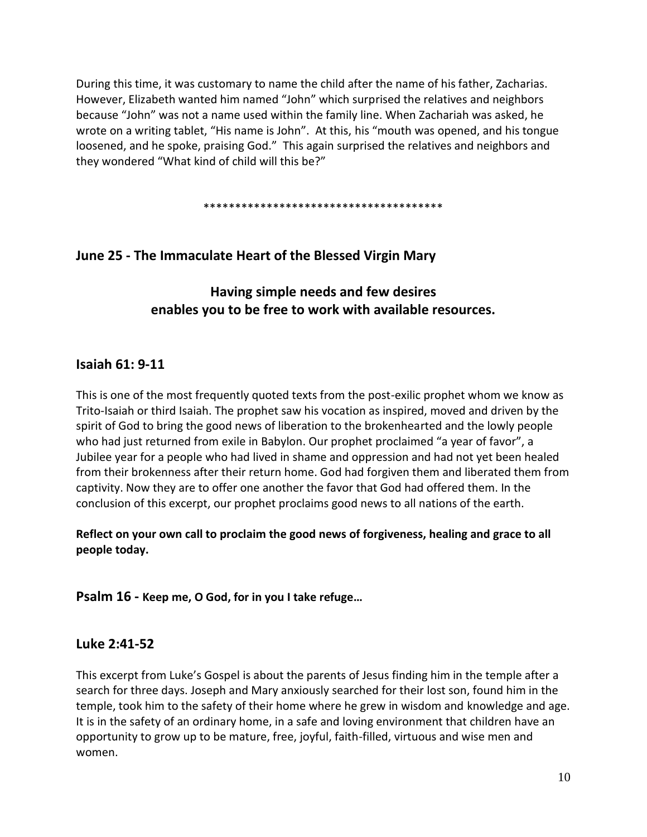During this time, it was customary to name the child after the name of his father, Zacharias. However, Elizabeth wanted him named "John" which surprised the relatives and neighbors because "John" was not a name used within the family line. When Zachariah was asked, he wrote on a writing tablet, "His name is John". At this, his "mouth was opened, and his tongue loosened, and he spoke, praising God." This again surprised the relatives and neighbors and they wondered "What kind of child will this be?"

\*\*\*\*\*\*\*\*\*\*\*\*\*\*\*\*\*\*\*\*\*\*\*\*\*\*\*\*\*\*\*\*\*\*\*\*\*\*

## **June 25 - The Immaculate Heart of the Blessed Virgin Mary**

**Having simple needs and few desires enables you to be free to work with available resources.**

### **Isaiah 61: 9-11**

This is one of the most frequently quoted texts from the post-exilic prophet whom we know as Trito-Isaiah or third Isaiah. The prophet saw his vocation as inspired, moved and driven by the spirit of God to bring the good news of liberation to the brokenhearted and the lowly people who had just returned from exile in Babylon. Our prophet proclaimed "a year of favor", a Jubilee year for a people who had lived in shame and oppression and had not yet been healed from their brokenness after their return home. God had forgiven them and liberated them from captivity. Now they are to offer one another the favor that God had offered them. In the conclusion of this excerpt, our prophet proclaims good news to all nations of the earth.

**Reflect on your own call to proclaim the good news of forgiveness, healing and grace to all people today.**

**Psalm 16 - Keep me, O God, for in you I take refuge…**

#### **Luke 2:41-52**

This excerpt from Luke's Gospel is about the parents of Jesus finding him in the temple after a search for three days. Joseph and Mary anxiously searched for their lost son, found him in the temple, took him to the safety of their home where he grew in wisdom and knowledge and age. It is in the safety of an ordinary home, in a safe and loving environment that children have an opportunity to grow up to be mature, free, joyful, faith-filled, virtuous and wise men and women.